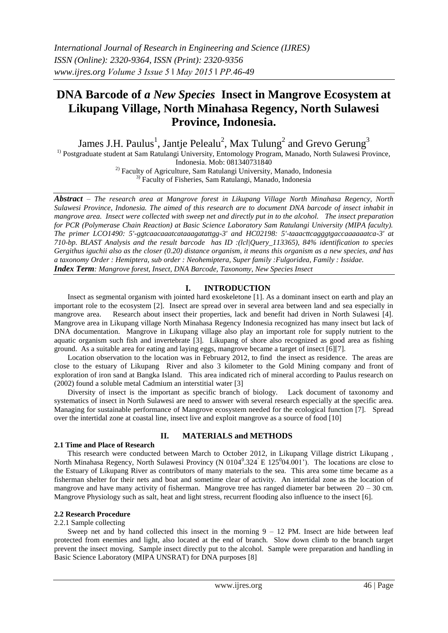# **DNA Barcode of** *a New Species* **Insect in Mangrove Ecosystem at Likupang Village, North Minahasa Regency, North Sulawesi Province, Indonesia.**

James J.H. Paulus<sup>1</sup>, Jantje Pelealu<sup>2</sup>, Max Tulung<sup>2</sup> and Grevo Gerung<sup>3</sup> <sup>1)</sup> Postgraduate student at Sam Ratulangi University, Entomology Program, Manado, North Sulawesi Province,

Indonesia. Mob: 081340731840

<sup>2)</sup> Faculty of Agriculture, Sam Ratulangi University, Manado, Indonesia 3) Faculty of Fisheries, Sam Ratulangi, Manado, Indonesia

*Abstract – The research area at Mangrove forest in Likupang Village North Minahasa Regency, North Sulawesi Province, Indonesia. The aimed of this research are to document DNA barcode of insect inhabit in mangrove area. Insect were collected with sweep net and directly put in to the alcohol. The insect preparation for PCR (Polymerase Chain Reaction) at Basic Science Laboratory Sam Ratulangi University (MIPA faculty). The primer LCO1490: 5'-ggtcaacaaatcataaagatattgg-3' and HC02198: 5'-taaacttcagggtgaccaaaaaatca-3' at 710-bp. BLAST Analysis and the result barcode has ID :(lcl|Query\_113365), 84% identification to species Gergithus iguchii also as the closer (0.20) distance organism, it means this organism as a new species, and has a taxonomy Order : Hemiptera, sub order : Neohemiptera, Super family :Fulgoridea, Family : Issidae. Index Term: Mangrove forest, Insect, DNA Barcode, Taxonomy, New Species Insect*

# **I. INTRODUCTION**

Insect as segmental organism with jointed hard exoskeletone [1]. As a dominant insect on earth and play an important role to the ecosystem [2]. Insect are spread over in several area between land and sea especially in mangrove area. Research about insect their properties, lack and benefit had driven in North Sulawesi [4]. Mangrove area in Likupang village North Minahasa Regency Indonesia recognized has many insect but lack of DNA documentation. Mangrove in Likupang village also play an important role for supply nutrient to the aquatic organism such fish and invertebrate [3]. Likupang of shore also recognized as good area as fishing ground. As a suitable area for eating and laying eggs, mangrove became a target of insect [6][7].

Location observation to the location was in February 2012, to find the insect as residence. The areas are close to the estuary of Likupang River and also 3 kilometer to the Gold Mining company and front of exploration of iron sand at Bangka Island. This area indicated rich of mineral according to Paulus research on (2002) found a soluble metal Cadmium an interstitial water [3]

Diversity of insect is the important as specific branch of biology. Lack document of taxonomy and systematics of insect in North Sulawesi are need to answer with several research especially at the specific area. Managing for sustainable performance of Mangrove ecosystem needed for the ecological function [7]. Spread over the intertidal zone at coastal line, insect live and exploit mangrove as a source of food [10]

# **2.1 Time and Place of Research**

# **II. MATERIALS and METHODS**

This research were conducted between March to October 2012, in Likupang Village district Likupang , North Minahasa Regency, North Sulawesi Provincy (N 0104<sup>0</sup>.324<sup>'</sup> E 125<sup>0</sup>04.001'). The locations are close to the Estuary of Likupang River as contributors of many materials to the sea. This area some time became as a fisherman shelter for their nets and boat and sometime clear of activity. An intertidal zone as the location of mangrove and have many activity of fisherman. Mangrove tree has ranged diameter bar between  $20 - 30$  cm. Mangrove Physiology such as salt, heat and light stress, recurrent flooding also influence to the insect [6].

# **2.2 Research Procedure**

#### 2.2.1 Sample collecting

Sweep net and by hand collected this insect in the morning  $9 - 12$  PM. Insect are hide between leaf protected from enemies and light, also located at the end of branch. Slow down climb to the branch target prevent the insect moving. Sample insect directly put to the alcohol. Sample were preparation and handling in Basic Science Laboratory (MIPA UNSRAT) for DNA purposes [8]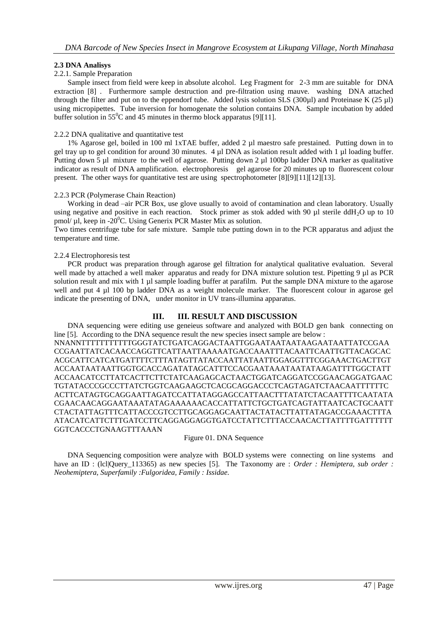## **2.3 DNA Analisys**

#### 2.2.1. Sample Preparation

Sample insect from field were keep in absolute alcohol. Leg Fragment for 2-3 mm are suitable for DNA extraction [8] . Furthermore sample destruction and pre-filtration using mauve. washing DNA attached through the filter and put on to the eppendorf tube. Added lysis solution SLS (300µl) and Proteinase K (25 µl) using micropipettes. Tube inversion for homogenate the solution contains DNA. Sample incubation by added buffer solution in  $55^{\circ}$ C and 45 minutes in thermo block apparatus [9][11].

#### 2.2.2 DNA qualitative and quantitative test

1% Agarose gel, boiled in 100 ml 1xTAE buffer, added 2 µl maestro safe prestained. Putting down in to gel tray up to gel condition for around 30 minutes. 4 µl DNA as isolation result added with 1 µl loading buffer. Putting down 5 µl mixture to the well of agarose. Putting down 2 µl 100bp ladder DNA marker as qualitative indicator as result of DNA amplification. electrophoresis gel agarose for 20 minutes up to fluorescent colour present. The other ways for quantitative test are using spectrophotometer [8][9][11][12][13].

#### 2.2.3 PCR (Polymerase Chain Reaction)

Working in dead –air PCR Box, use glove usually to avoid of contamination and clean laboratory. Usually using negative and positive in each reaction. Stock primer as stok added with 90  $\mu$ l sterile ddH<sub>2</sub>O up to 10 pmol/  $\mu$ l, keep in -20<sup>0</sup>C. Using Generix PCR Master Mix as solution.

Two times centrifuge tube for safe mixture. Sample tube putting down in to the PCR apparatus and adjust the temperature and time.

#### 2.2.4 Electrophoresis test

PCR product was preparation through agarose gel filtration for analytical qualitative evaluation. Several well made by attached a well maker apparatus and ready for DNA mixture solution test. Pipetting 9 µl as PCR solution result and mix with 1 µl sample loading buffer at parafilm. Put the sample DNA mixture to the agarose well and put 4 µl 100 bp ladder DNA as a weight molecule marker. The fluorescent colour in agarose gel indicate the presenting of DNA, under monitor in UV trans-illumina apparatus.

# **III. III. RESULT AND DISCUSSION**

DNA sequencing were editing use geneieus software and analyzed with BOLD gen bank connecting on line [5]. According to the DNA sequence result the new species insect sample are below :

NNANNTTTTTTTTTTTGGGTATCTGATCAGGACTAATTGGAATAATAATAAGAATAATTATCCGAA CCGAATTATCACAACCAGGTTCATTAATTAAAAATGACCAAATTTACAATTCAATTGTTACAGCAC ACGCATTCATCATGATTTTCTTTATAGTTATACCAATTATAATTGGAGGTTTCGGAAACTGACTTGT ACCAATAATAATTGGTGCACCAGATATAGCATTTCCACGAATAAATAATATAAGATTTTGGCTATT ACCAACATCCTTATCACTTCTTCTATCAAGAGCACTAACTGGATCAGGATCCGGAACAGGATGAAC TGTATACCCGCCCTTATCTGGTCAAGAAGCTCACGCAGGACCCTCAGTAGATCTAACAATTTTTTC ACTTCATAGTGCAGGAATTAGATCCATTATAGGAGCCATTAACTTTATATCTACAATTTTCAATATA CGAACAACAGGAATAAATATAGAAAAAACACCATTATTCTGCTGATCAGTATTAATCACTGCAATT CTACTATTAGTTTCATTACCCGTCCTTGCAGGAGCAATTACTATACTTATTATAGACCGAAACTTTA ATACATCATTCTTTGATCCTTCAGGAGGAGGTGATCCTATTCTTTACCAACACTTATTTTGATTTTTT GGTCACCCTGNAAGTTTAAAN

## Figure 01. DNA Sequence

DNA Sequencing composition were analyze with BOLD systems were connecting on line systems and have an ID : (lcl|Query\_113365) as new species [5]. The Taxonomy are : *Order : Hemiptera, sub order : Neohemiptera, Superfamily :Fulgoridea, Family : Issidae.*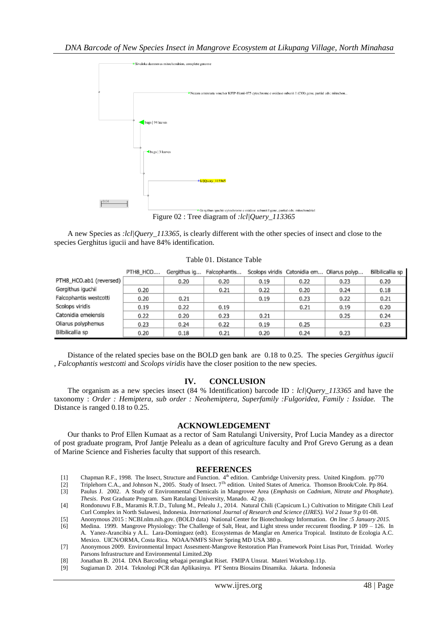

Figure 02 : Tree diagram of *:lcl|Query\_113365*

A new Species as *:lcl|Query\_113365,* is clearly different with the other species of insect and close to the species Gerghitus igucii and have 84% identification.

|                         | PTH8 HCO | Gergithus ig | Falcophantis |      | Scolops viridis Catonidia em Oliarus polyp |      | Bilbilicallia sp |
|-------------------------|----------|--------------|--------------|------|--------------------------------------------|------|------------------|
| PTH8_HCO.ab1 (reversed) |          | 0.20         | 0.20         | 0.19 | 0.22                                       | 0.23 | 0.20             |
| Gergithus iguchii       | 0.20     |              | 0.21         | 0.22 | 0.20                                       | 0.24 | 0.18             |
| Falcophantis westcotti  | 0.20     | 0.21         |              | 0.19 | 0.23                                       | 0.22 | 0.21             |
| Scolops viridis         | 0.19     | 0.22         | 0.19         |      | 0.21                                       | 0.19 | 0.20             |
| Catonidia emeiensis     | 0.22     | 0.20         | 0.23         | 0.21 |                                            | 0.25 | 0.24             |
| Oliarus polyphemus      | 0.23     | 0.24         | 0.22         | 0.19 | 0.25                                       |      | 0.23             |
| Bilbilicallia sp        | 0.20     | 0.18         | 0.21         | 0.20 | 0.24                                       | 0.23 |                  |

Table 01. Distance Table

Distance of the related species base on the BOLD gen bank are 0.18 to 0.25. The species *Gergithus igucii* , *Falcophantis westcotti* and *Scolops viridis* have the closer position to the new species.

# **IV. CONCLUSION**

The organism as a new species insect (84 % Identification) barcode ID : *lcl|Query\_113365* and have the taxonomy : *Order : Hemiptera, sub order : Neohemiptera, Superfamily :Fulgoridea, Family : Issidae.* The Distance is ranged 0.18 to 0.25.

#### **ACKNOWLEDGEMENT**

Our thanks to Prof Ellen Kumaat as a rector of Sam Ratulangi University, Prof Lucia Mandey as a director of post graduate program, Prof Jantje Pelealu as a dean of agriculture faculty and Prof Grevo Gerung as a dean of Marine Science and Fisheries faculty that support of this research.

#### **REFERENCES**

- [1] Chapman R.F., 1998. The Insect, Structure and Function. 4th edition. Cambridge University press. United Kingdom. pp770
- [2] Triplehorn C.A., and Johnson N., 2005. Study of Insect. 7Th edition. United States of America. Thomson Brook/Cole. Pp 864.
- [3] Paulus J. 2002. A Study of Environmental Chemicals in Mangrovee Area (*Emphasis on Cadmium, Nitrate and Phosphate*). *Thesis*. Post Graduate Program. Sam Ratulangi University, Manado. 42 pp.
- [4] Rondonuwu F.B., Maramis R.T.D., Tulung M., Pelealu J., 2014. Natural Chili (Capsicum L.) Cultivation to Mitigate Chili Leaf Curl Complex in North Sulawesi, Indonesia. *International Journal of Research and Science (IJRES). Vol 2 Issue 9*.p 01-08.
- [5] Anonymous 2015 : NCBI.nlm.nih.gov. (BOLD data) National Center for Biotechnology Information. *On line :5 January 2015.*
- [6] Medina. 1999. Mangrove Physiology: The Challenge of Salt, Heat, and Light stress under reccurent flooding. P 109 126. In A. Yanez-Arancibia y A.L. Lara-Dominguez (edt). Ecosystemas de Manglar en America Tropical. Instituto de Ecologia A.C. Mexico. UICN/ORMA, Costa Rica. NOAA/NMFS Silver Spring MD USA 380 p.
- [7] Anonymous 2009. Environmental Impact Assesment-Mangrove Restoration Plan Framework Point Lisas Port, Trinidad. Worley Parsons Infrastructure and Environmental Limited.20p
- [8] Jonathan B. 2014. DNA Barcoding sebagai perangkat Riset. FMIPA Unsrat. Materi Workshop.11p.
- [9] Sugiaman D. 2014. Teknologi PCR dan Aplikasinya. PT Sentra Biosains Dinamika. Jakarta. Indonesia